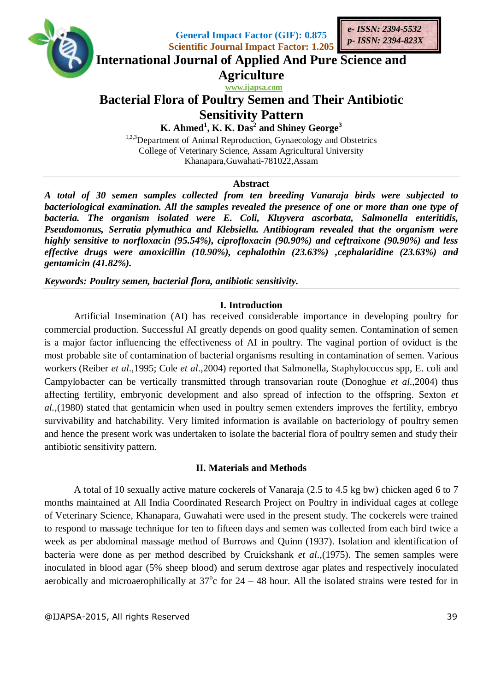





**International Journal of Applied And Pure Science and**

**Agriculture**

 **www.ijapsa.com**

# **Bacterial Flora of Poultry Semen and Their Antibiotic Sensitivity Pattern**

**K. Ahmed<sup>1</sup> , K. K. Das 2 and Shiney George<sup>3</sup>**

<sup>1,2,3</sup>Department of Animal Reproduction, Gynaecology and Obstetrics College of Veterinary Science, Assam Agricultural University Khanapara,Guwahati-781022,Assam

### **Abstract**

*A total of 30 semen samples collected from ten breeding Vanaraja birds were subjected to bacteriological examination. All the samples revealed the presence of one or more than one type of bacteria. The organism isolated were E. Coli, Kluyvera ascorbata, Salmonella enteritidis, Pseudomonus, Serratia plymuthica and Klebsiella. Antibiogram revealed that the organism were highly sensitive to norfloxacin (95.54%), ciprofloxacin (90.90%) and ceftraixone (90.90%) and less effective drugs were amoxicillin (10.90%), cephalothin (23.63%) ,cephalaridine (23.63%) and gentamicin (41.82%).*

*Keywords: Poultry semen, bacterial flora, antibiotic sensitivity.*

## **I. Introduction**

Artificial Insemination (AI) has received considerable importance in developing poultry for commercial production. Successful AI greatly depends on good quality semen. Contamination of semen is a major factor influencing the effectiveness of AI in poultry. The vaginal portion of oviduct is the most probable site of contamination of bacterial organisms resulting in contamination of semen. Various workers (Reiber *et al*.,1995; Cole *et al*.,2004) reported that Salmonella, Staphylococcus spp, E. coli and Campylobacter can be vertically transmitted through transovarian route (Donoghue *et al*.,2004) thus affecting fertility, embryonic development and also spread of infection to the offspring. Sexton *et al.*,(1980) stated that gentamicin when used in poultry semen extenders improves the fertility, embryo survivability and hatchability. Very limited information is available on bacteriology of poultry semen and hence the present work was undertaken to isolate the bacterial flora of poultry semen and study their antibiotic sensitivity pattern.

#### **II. Materials and Methods**

A total of 10 sexually active mature cockerels of Vanaraja (2.5 to 4.5 kg bw) chicken aged 6 to 7 months maintained at All India Coordinated Research Project on Poultry in individual cages at college of Veterinary Science, Khanapara, Guwahati were used in the present study. The cockerels were trained to respond to massage technique for ten to fifteen days and semen was collected from each bird twice a week as per abdominal massage method of Burrows and Quinn (1937). Isolation and identification of bacteria were done as per method described by Cruickshank *et al*.,(1975). The semen samples were inoculated in blood agar (5% sheep blood) and serum dextrose agar plates and respectively inoculated aerobically and microaerophilically at  $37^{\circ}$ c for  $24 - 48$  hour. All the isolated strains were tested for in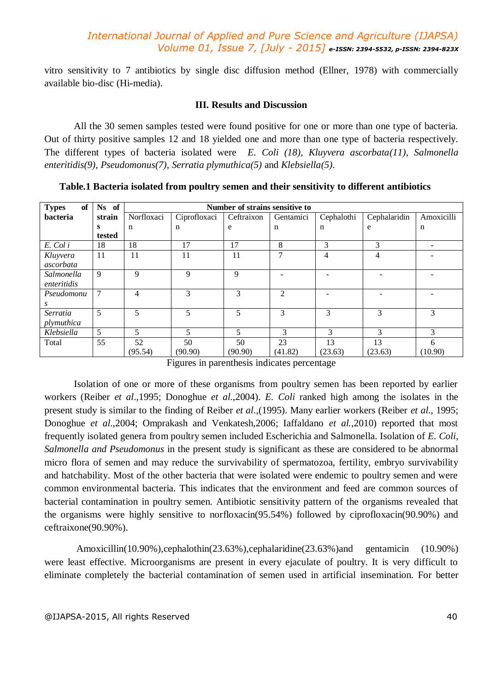vitro sensitivity to 7 antibiotics by single disc diffusion method (Ellner, 1978) with commercially available bio-disc (Hi-media).

#### **III. Results and Discussion**

All the 30 semen samples tested were found positive for one or more than one type of bacteria. Out of thirty positive samples 12 and 18 yielded one and more than one type of bacteria respectively. The different types of bacteria isolated were *E. Coli (18), Kluyvera ascorbata(11), Salmonella enteritidis(9), Pseudomonus(7), Serratia plymuthica(5)* and *Klebsiella(5)*.

| <b>Types</b><br>of | Ns of  | Number of strains sensitive to |              |            |                             |                |                |            |
|--------------------|--------|--------------------------------|--------------|------------|-----------------------------|----------------|----------------|------------|
| bacteria           | strain | Norfloxaci                     | Ciprofloxaci | Ceftraixon | Gentamici                   | Cephalothi     | Cephalaridin   | Amoxicilli |
|                    | s      | n                              | $\mathbf n$  | e          | $\mathbf n$                 | n              | e              | n          |
|                    | tested |                                |              |            |                             |                |                |            |
| E. Col i           | 18     | 18                             | 17           | 17         | 8                           | 3              | 3              |            |
| Kluyvera           | 11     | 11                             | 11           | 11         | 7                           | $\overline{4}$ | $\overline{4}$ |            |
| ascorbata          |        |                                |              |            |                             |                |                |            |
| Salmonella         | 9      | 9                              | 9            | 9          |                             |                |                |            |
| enteritidis        |        |                                |              |            |                             |                |                |            |
| Pseudomonu         | $\tau$ | 4                              | 3            | 3          | $\mathcal{D}_{\mathcal{L}}$ |                |                |            |
| S                  |        |                                |              |            |                             |                |                |            |
| Serratia           | 5      | 5                              | 5            | 5          | 3                           | 3              | 3              | 3          |
| plymuthica         |        |                                |              |            |                             |                |                |            |
| Klebsiella         | 5      | 5                              | 5            | 5          | 3                           | 3              | 3              | 3          |
| Total              | 55     | 52                             | 50           | 50         | 23                          | 13             | 13             | 6          |
|                    |        | (95.54)                        | (90.90)      | (90.90)    | (41.82)                     | (23.63)        | (23.63)        | (10.90)    |

**Table.1 Bacteria isolated from poultry semen and their sensitivity to different antibiotics**

Figures in parenthesis indicates percentage

Isolation of one or more of these organisms from poultry semen has been reported by earlier workers (Reiber *et al*.,1995; Donoghue *et al*.,2004). *E. Coli* ranked high among the isolates in the present study is similar to the finding of Reiber *et al*.,(1995). Many earlier workers (Reiber *et al*., 1995; Donoghue *et al*.,2004; Omprakash and Venkatesh,2006; Iaffaldano *et al.,*2010) reported that most frequently isolated genera from poultry semen included Escherichia and Salmonella. Isolation of *E. Coli, Salmonella and Pseudomonus* in the present study is significant as these are considered to be abnormal micro flora of semen and may reduce the survivability of spermatozoa, fertility, embryo survivability and hatchability. Most of the other bacteria that were isolated were endemic to poultry semen and were common environmental bacteria. This indicates that the environment and feed are common sources of bacterial contamination in poultry semen. Antibiotic sensitivity pattern of the organisms revealed that the organisms were highly sensitive to norfloxacin(95.54%) followed by ciprofloxacin(90.90%) and ceftraixone(90.90%).

Amoxicillin(10.90%),cephalothin(23.63%),cephalaridine(23.63%)and gentamicin (10.90%) were least effective. Microorganisms are present in every ejaculate of poultry. It is very difficult to eliminate completely the bacterial contamination of semen used in artificial insemination. For better